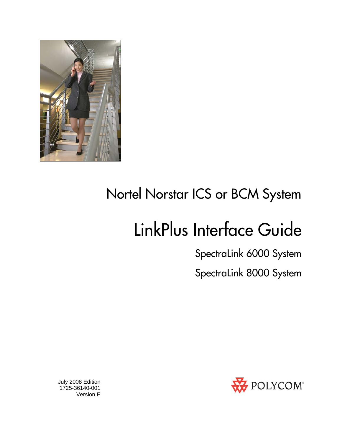

# Nortel Norstar ICS or BCM System

# LinkPlus Interface Guide

SpectraLink 6000 System

SpectraLink 8000 System



 July 2008 Edition 1725-36140-001 Version E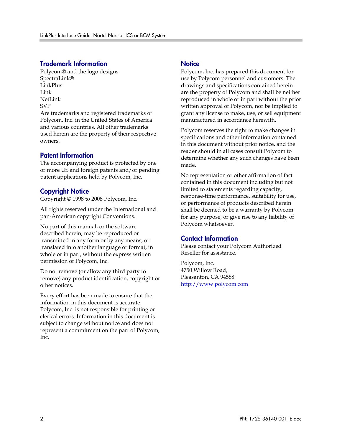### Trademark Information

Polycom® and the logo designs SpectraLink® LinkPlus Link NetLink SVP

Are trademarks and registered trademarks of Polycom, Inc. in the United States of America and various countries. All other trademarks used herein are the property of their respective owners.

#### Patent Information

The accompanying product is protected by one or more US and foreign patents and/or pending patent applications held by Polycom, Inc.

### Copyright Notice

Copyright © 1998 to 2008 Polycom, Inc.

All rights reserved under the International and pan-American copyright Conventions.

No part of this manual, or the software described herein, may be reproduced or transmitted in any form or by any means, or translated into another language or format, in whole or in part, without the express written permission of Polycom, Inc.

Do not remove (or allow any third party to remove) any product identification, copyright or other notices.

Every effort has been made to ensure that the information in this document is accurate. Polycom, Inc. is not responsible for printing or clerical errors. Information in this document is subject to change without notice and does not represent a commitment on the part of Polycom, Inc.

#### **Notice**

Polycom, Inc. has prepared this document for use by Polycom personnel and customers. The drawings and specifications contained herein are the property of Polycom and shall be neither reproduced in whole or in part without the prior written approval of Polycom, nor be implied to grant any license to make, use, or sell equipment manufactured in accordance herewith.

Polycom reserves the right to make changes in specifications and other information contained in this document without prior notice, and the reader should in all cases consult Polycom to determine whether any such changes have been made.

No representation or other affirmation of fact contained in this document including but not limited to statements regarding capacity, response-time performance, suitability for use, or performance of products described herein shall be deemed to be a warranty by Polycom for any purpose, or give rise to any liability of Polycom whatsoever.

### Contact Information

Please contact your Polycom Authorized Reseller for assistance.

Polycom, Inc. 4750 Willow Road, Pleasanton, CA 94588 [http://www.polycom.com](http://www.polycom.com/)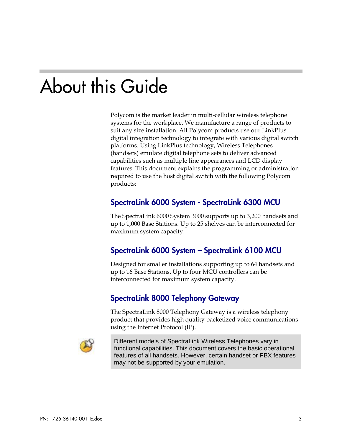# About this Guide

Polycom is the market leader in multi-cellular wireless telephone systems for the workplace. We manufacture a range of products to suit any size installation. All Polycom products use our LinkPlus digital integration technology to integrate with various digital switch platforms. Using LinkPlus technology, Wireless Telephones (handsets) emulate digital telephone sets to deliver advanced capabilities such as multiple line appearances and LCD display features. This document explains the programming or administration required to use the host digital switch with the following Polycom products:

### SpectraLink 6000 System - SpectraLink 6300 MCU

The SpectraLink 6000 System 3000 supports up to 3,200 handsets and up to 1,000 Base Stations. Up to 25 shelves can be interconnected for maximum system capacity.

## SpectraLink 6000 System – SpectraLink 6100 MCU

Designed for smaller installations supporting up to 64 handsets and up to 16 Base Stations. Up to four MCU controllers can be interconnected for maximum system capacity.

### SpectraLink 8000 Telephony Gateway

The SpectraLink 8000 Telephony Gateway is a wireless telephony product that provides high quality packetized voice communications using the Internet Protocol (IP).



Different models of SpectraLink Wireless Telephones vary in functional capabilities. This document covers the basic operational features of all handsets. However, certain handset or PBX features may not be supported by your emulation.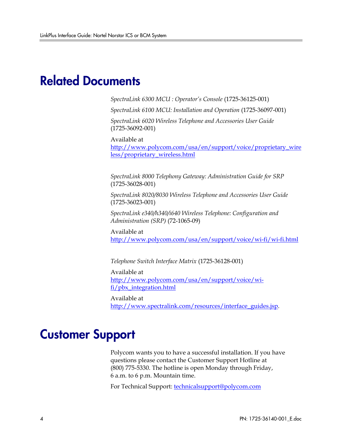# Related Documents

*SpectraLink 6300 MCU : Operator's Console* (1725-36125-001)

*SpectraLink 6100 MCU: Installation and Operation* (1725-36097-001)

*SpectraLink 6020 Wireless Telephone and Accessories User Guide*  (1725-36092-001)

Available at

[http://www.polycom.com/usa/en/support/voice/proprietary\\_wire](http://www.polycom.com/usa/en/support/voice/proprietary_wireless/proprietary_wireless.html) [less/proprietary\\_wireless.html](http://www.polycom.com/usa/en/support/voice/proprietary_wireless/proprietary_wireless.html)

*SpectraLink 8000 Telephony Gateway: Administration Guide for SRP*  (1725-36028-001)

*SpectraLink 8020/8030 Wireless Telephone and Accessories User Guide*  (1725-36023-001)

*SpectraLink e340/h340/i640 Wireless Telephone: Configuration and Administration (SRP)* (72-1065-09)

Available at <http://www.polycom.com/usa/en/support/voice/wi-fi/wi-fi.html>

*Telephone Switch Interface Matrix* (1725-36128-001)

Available at [http://www.polycom.com/usa/en/support/voice/wi](http://www.polycom.com/usa/en/support/voice/wi-fi/pbx_integration.html)[fi/pbx\\_integration.html](http://www.polycom.com/usa/en/support/voice/wi-fi/pbx_integration.html) 

Available at [http://www.spectralink.com/resources/interface\\_guides.jsp.](http://www.spectralink.com/resources/interface_guides.jsp)

# Customer Support

Polycom wants you to have a successful installation. If you have questions please contact the Customer Support Hotline at (800) 775-5330. The hotline is open Monday through Friday, 6 a.m. to 6 p.m. Mountain time.

For Technical Support: [technicalsupport@polycom.com](mailto:technicalsupport@polycom.com)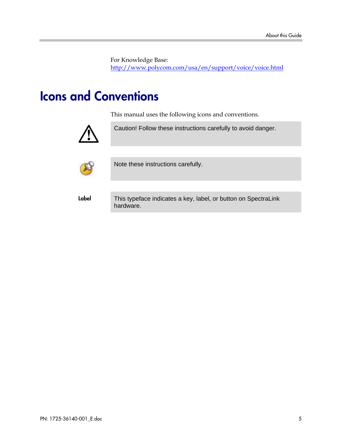For Knowledge Base: <http://www.polycom.com/usa/en/support/voice/voice.html>

# Icons and Conventions

This manual uses the following icons and conventions.



Caution! Follow these instructions carefully to avoid danger.



Note these instructions carefully.

Label This typeface indicates a key, label, or button on SpectraLink hardware.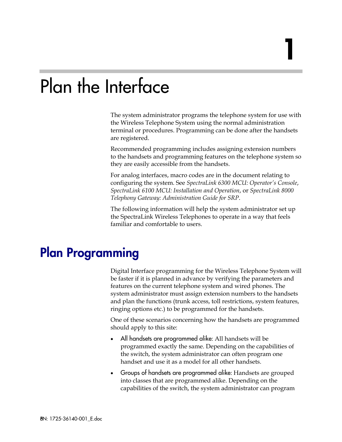# Plan the Interface

The system administrator programs the telephone system for use with the Wireless Telephone System using the normal administration terminal or procedures. Programming can be done after the handsets are registered.

1

Recommended programming includes assigning extension numbers to the handsets and programming features on the telephone system so they are easily accessible from the handsets.

For analog interfaces, macro codes are in the document relating to configuring the system. See *SpectraLink 6300 MCU: Operator's Console*, *SpectraLink 6100 MCU: Installation and Operation*, or *SpectraLink 8000 Telephony Gateway: Administration Guide for SRP*.

The following information will help the system administrator set up the SpectraLink Wireless Telephones to operate in a way that feels familiar and comfortable to users.

# Plan Programming

Digital Interface programming for the Wireless Telephone System will be faster if it is planned in advance by verifying the parameters and features on the current telephone system and wired phones. The system administrator must assign extension numbers to the handsets and plan the functions (trunk access, toll restrictions, system features, ringing options etc.) to be programmed for the handsets.

One of these scenarios concerning how the handsets are programmed should apply to this site:

- All handsets are programmed alike: All handsets will be programmed exactly the same. Depending on the capabilities of the switch, the system administrator can often program one handset and use it as a model for all other handsets.
- Groups of handsets are programmed alike: Handsets are grouped into classes that are programmed alike. Depending on the capabilities of the switch, the system administrator can program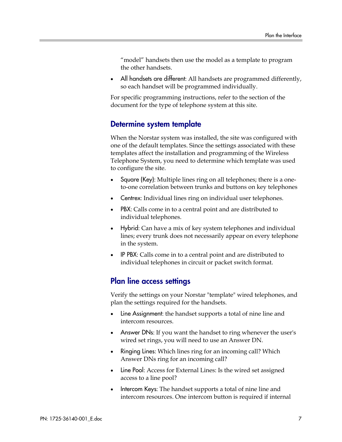"model" handsets then use the model as a template to program the other handsets.

All handsets are different: All handsets are programmed differently, so each handset will be programmed individually.

For specific programming instructions, refer to the section of the document for the type of telephone system at this site.

### Determine system template

When the Norstar system was installed, the site was configured with one of the default templates. Since the settings associated with these templates affect the installation and programming of the Wireless Telephone System, you need to determine which template was used to configure the site.

- Square (Key): Multiple lines ring on all telephones; there is a oneto-one correlation between trunks and buttons on key telephones
- Centrex: Individual lines ring on individual user telephones.
- PBX: Calls come in to a central point and are distributed to individual telephones.
- Hybrid: Can have a mix of key system telephones and individual lines; every trunk does not necessarily appear on every telephone in the system.
- IP PBX: Calls come in to a central point and are distributed to individual telephones in circuit or packet switch format.

### Plan line access settings

Verify the settings on your Norstar "template" wired telephones, and plan the settings required for the handsets.

- Line Assignment: the handset supports a total of nine line and intercom resources.
- Answer DNs: If you want the handset to ring whenever the user's wired set rings, you will need to use an Answer DN.
- Ringing Lines: Which lines ring for an incoming call? Which Answer DNs ring for an incoming call?
- Line Pool: Access for External Lines: Is the wired set assigned access to a line pool?
- Intercom Keys: The handset supports a total of nine line and intercom resources. One intercom button is required if internal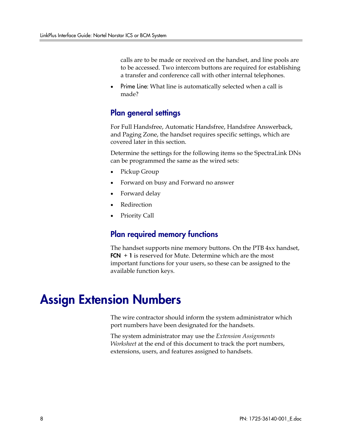calls are to be made or received on the handset, and line pools are to be accessed. Two intercom buttons are required for establishing a transfer and conference call with other internal telephones.

• Prime Line: What line is automatically selected when a call is made?

### Plan general settings

For Full Handsfree, Automatic Handsfree, Handsfree Answerback, and Paging Zone, the handset requires specific settings, which are covered later in this section.

Determine the settings for the following items so the SpectraLink DNs can be programmed the same as the wired sets:

- Pickup Group
- Forward on busy and Forward no answer
- Forward delay
- **Redirection**
- Priority Call

### Plan required memory functions

The handset supports nine memory buttons. On the PTB 4xx handset,  $FCN + 1$  is reserved for Mute. Determine which are the most important functions for your users, so these can be assigned to the available function keys.

# Assign Extension Numbers

The wire contractor should inform the system administrator which port numbers have been designated for the handsets.

The system administrator may use the *Extension Assignments Worksheet* at the end of this document to track the port numbers, extensions, users, and features assigned to handsets.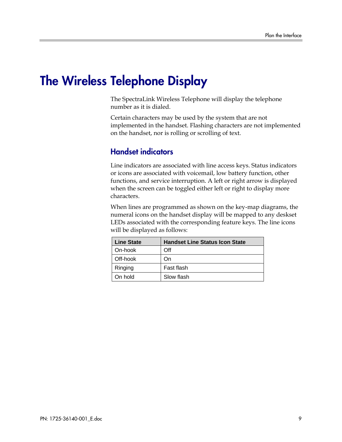# The Wireless Telephone Display

The SpectraLink Wireless Telephone will display the telephone number as it is dialed.

Certain characters may be used by the system that are not implemented in the handset. Flashing characters are not implemented on the handset, nor is rolling or scrolling of text.

### Handset indicators

Line indicators are associated with line access keys. Status indicators or icons are associated with voicemail, low battery function, other functions, and service interruption. A left or right arrow is displayed when the screen can be toggled either left or right to display more characters.

When lines are programmed as shown on the key-map diagrams, the numeral icons on the handset display will be mapped to any deskset LEDs associated with the corresponding feature keys. The line icons will be displayed as follows:

| <b>Line State</b> | <b>Handset Line Status Icon State</b> |
|-------------------|---------------------------------------|
| On-hook           | Off                                   |
| Off-hook          | On                                    |
| Ringing           | Fast flash                            |
| On hold           | Slow flash                            |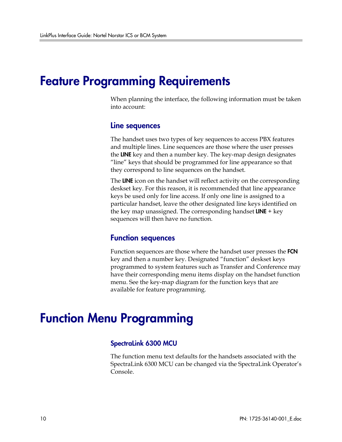# Feature Programming Requirements

When planning the interface, the following information must be taken into account:

#### Line sequences

The handset uses two types of key sequences to access PBX features and multiple lines. Line sequences are those where the user presses the LINE key and then a number key. The key-map design designates "line" keys that should be programmed for line appearance so that they correspond to line sequences on the handset.

The LINE icon on the handset will reflect activity on the corresponding deskset key. For this reason, it is recommended that line appearance keys be used only for line access. If only one line is assigned to a particular handset, leave the other designated line keys identified on the key map unassigned. The corresponding handset  $LINE + key$ sequences will then have no function.

### Function sequences

Function sequences are those where the handset user presses the FCN key and then a number key. Designated "function" deskset keys programmed to system features such as Transfer and Conference may have their corresponding menu items display on the handset function menu. See the key-map diagram for the function keys that are available for feature programming.

# Function Menu Programming

#### SpectraLink 6300 MCU

The function menu text defaults for the handsets associated with the SpectraLink 6300 MCU can be changed via the SpectraLink Operator's Console.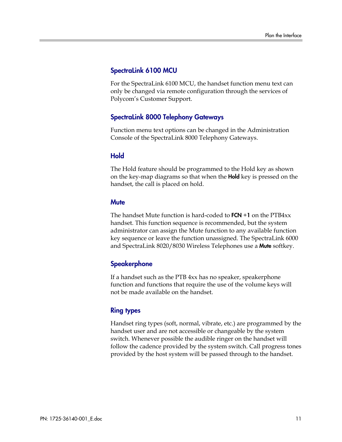#### SpectraLink 6100 MCU

For the SpectraLink 6100 MCU, the handset function menu text can only be changed via remote configuration through the services of Polycom's Customer Support.

### SpectraLink 8000 Telephony Gateways

Function menu text options can be changed in the Administration Console of the SpectraLink 8000 Telephony Gateways.

#### Hold

The Hold feature should be programmed to the Hold key as shown on the key-map diagrams so that when the **Hold** key is pressed on the handset, the call is placed on hold.

#### **Mute**

The handset Mute function is hard-coded to  $FCN + 1$  on the  $PTB4xx$ handset. This function sequence is recommended, but the system administrator can assign the Mute function to any available function key sequence or leave the function unassigned. The SpectraLink 6000 and SpectraLink 8020/8030 Wireless Telephones use a Mute softkey.

### **Speakerphone**

If a handset such as the PTB 4xx has no speaker, speakerphone function and functions that require the use of the volume keys will not be made available on the handset.

#### Ring types

Handset ring types (soft, normal, vibrate, etc.) are programmed by the handset user and are not accessible or changeable by the system switch. Whenever possible the audible ringer on the handset will follow the cadence provided by the system switch. Call progress tones provided by the host system will be passed through to the handset.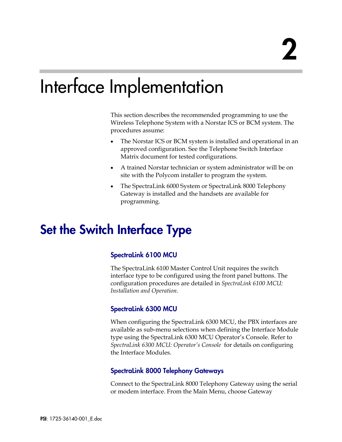# Interface Implementation

This section describes the recommended programming to use the Wireless Telephone System with a Norstar ICS or BCM system. The procedures assume:

- The Norstar ICS or BCM system is installed and operational in an approved configuration. See the Telephone Switch Interface Matrix document for tested configurations.
- A trained Norstar technician or system administrator will be on site with the Polycom installer to program the system.
- The SpectraLink 6000 System or SpectraLink 8000 Telephony Gateway is installed and the handsets are available for programming.

# Set the Switch Interface Type

### SpectraLink 6100 MCU

The SpectraLink 6100 Master Control Unit requires the switch interface type to be configured using the front panel buttons. The configuration procedures are detailed in *SpectraLink 6100 MCU: Installation and Operation.*

### SpectraLink 6300 MCU

When configuring the SpectraLink 6300 MCU, the PBX interfaces are available as sub-menu selections when defining the Interface Module type using the SpectraLink 6300 MCU Operator's Console. Refer to *SpectraLink 6300 MCU: Operator's Console* for details on configuring the Interface Modules.

### SpectraLink 8000 Telephony Gateways

Connect to the SpectraLink 8000 Telephony Gateway using the serial or modem interface. From the Main Menu, choose Gateway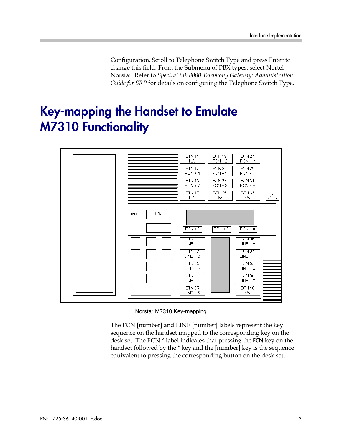Configuration. Scroll to Telephone Switch Type and press Enter to change this field. From the Submenu of PBX types, select Nortel Norstar. Refer to *SpectraLink 8000 Telephony Gateway: Administration Guide for SRP* for details on configuring the Telephone Switch Type.

# Key-mapping the Handset to Emulate M7310 Functionality



Norstar M7310 Key-mapping

The FCN [number] and LINE [number] labels represent the key sequence on the handset mapped to the corresponding key on the desk set. The FCN **\*** label indicates that pressing the FCN key on the handset followed by the \* key and the [number] key is the sequence equivalent to pressing the corresponding button on the desk set.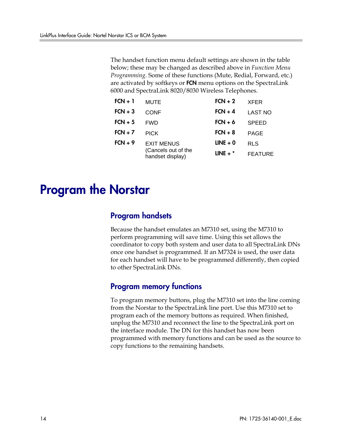The handset function menu default settings are shown in the table below; these may be changed as described above in *Function Menu Programming*. Some of these functions (Mute, Redial, Forward, etc.) are activated by softkeys or FCN menu options on the SpectraLink 6000 and SpectraLink 8020/8030 Wireless Telephones.

| $FCN + 1$ | <b>MUTE</b>                             | $FCN + 2$  | <b>XFER</b>    |
|-----------|-----------------------------------------|------------|----------------|
| $FCN + 3$ | CONF                                    | $FCN + 4$  | <b>LAST NO</b> |
| $FCN + 5$ | <b>FWD</b>                              | $FCN + 6$  | <b>SPEED</b>   |
| $FCN + 7$ | <b>PICK</b>                             | $FCN + 8$  | PAGE           |
| $FCN + 9$ | <b>EXIT MENUS</b>                       | $LINE + 0$ | <b>RLS</b>     |
|           | (Cancels out of the<br>handset display) | LINE $+$ * | <b>FEATURE</b> |

# Program the Norstar

### Program handsets

Because the handset emulates an M7310 set, using the M7310 to perform programming will save time. Using this set allows the coordinator to copy both system and user data to all SpectraLink DNs once one handset is programmed. If an M7324 is used, the user data for each handset will have to be programmed differently, then copied to other SpectraLink DNs.

### Program memory functions

To program memory buttons, plug the M7310 set into the line coming from the Norstar to the SpectraLink line port. Use this M7310 set to program each of the memory buttons as required. When finished, unplug the M7310 and reconnect the line to the SpectraLink port on the interface module. The DN for this handset has now been programmed with memory functions and can be used as the source to copy functions to the remaining handsets.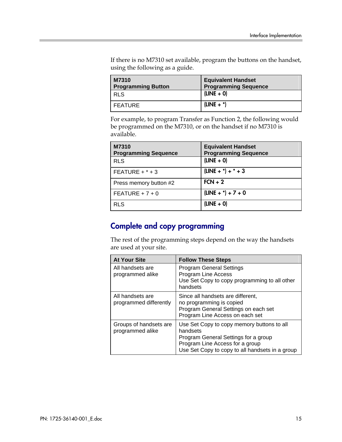If there is no M7310 set available, program the buttons on the handset, using the following as a guide.

| M7310<br><b>Programming Button</b> | <b>Equivalent Handset</b><br><b>Programming Sequence</b> |
|------------------------------------|----------------------------------------------------------|
| <b>RLS</b>                         | $(LINE + 0)$                                             |
| FEATURE                            | $(LINE + *)$                                             |

For example, to program Transfer as Function 2, the following would be programmed on the M7310, or on the handset if no M7310 is available.

| M7310<br><b>Programming Sequence</b> | <b>Equivalent Handset</b><br><b>Programming Sequence</b> |
|--------------------------------------|----------------------------------------------------------|
| <b>RLS</b>                           | $(LINE + 0)$                                             |
| FEATURE $+$ $*$ + 3                  | $(LINE + *) + * + 3$                                     |
| Press memory button #2               | $FCN + 2$                                                |
| FEATURE + $7 + 0$                    | $(LINE + *) + 7 + 0$                                     |
| <b>RLS</b>                           | $(LINE + 0)$                                             |

## Complete and copy programming

The rest of the programming steps depend on the way the handsets are used at your site.

| <b>At Your Site</b>                        | <b>Follow These Steps</b>                                                                                                                                                            |
|--------------------------------------------|--------------------------------------------------------------------------------------------------------------------------------------------------------------------------------------|
| All handsets are<br>programmed alike       | <b>Program General Settings</b><br>Program Line Access<br>Use Set Copy to copy programming to all other<br>handsets                                                                  |
| All handsets are<br>programmed differently | Since all handsets are different,<br>no programming is copied<br>Program General Settings on each set<br>Program Line Access on each set                                             |
| Groups of handsets are<br>programmed alike | Use Set Copy to copy memory buttons to all<br>handsets<br>Program General Settings for a group<br>Program Line Access for a group<br>Use Set Copy to copy to all handsets in a group |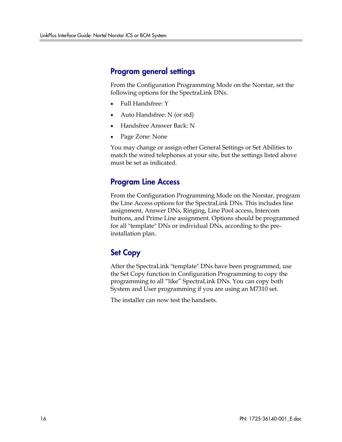### Program general settings

From the Configuration Programming Mode on the Norstar, set the following options for the SpectraLink DNs.

- Full Handsfree: Y
- Auto Handsfree: N (or std)
- Handsfree Answer Back: N
- Page Zone: None

You may change or assign other General Settings or Set Abilities to match the wired telephones at your site, but the settings listed above must be set as indicated.

## Program Line Access

From the Configuration Programming Mode on the Norstar, program the Line Access options for the SpectraLink DNs. This includes line assignment, Answer DNs, Ringing, Line Pool access, Intercom buttons, and Prime Line assignment. Options should be programmed for all "template" DNs or individual DNs, according to the preinstallation plan.

## Set Copy

After the SpectraLink "template" DNs have been programmed, use the Set Copy function in Configuration Programming to copy the programming to all "like" SpectraLink DNs. You can copy both System and User programming if you are using an M7310 set.

The installer can now test the handsets.